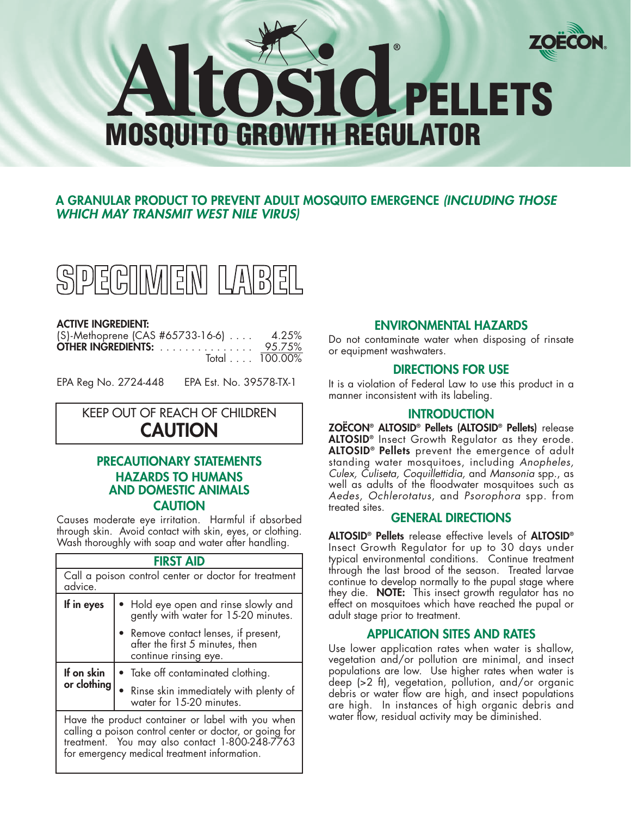

# **A GRANULAR PRODUCT TO PREVENT ADULT MOSQUITO EMERGENCE (INCLUDING THOSE WHICH MAY TRANSMIT WEST NILE VIRUS)**



#### **ACTIVE INGREDIENT:**

| $(S)$ -Methoprene (CAS #65733-16-6) $\dots$ | 4.25%  |
|---------------------------------------------|--------|
| <b>OTHER INGREDIENTS:</b>                   | 95.75% |
| Total $\ldots$ 100.00%                      |        |

EPA Reg No. 2724-448 EPA Est. No. 39578-TX-1

# KEEP OUT OF REACH OF CHILDREN **CAUTION**

### **PRECAUTIONARY STATEMENTS HAZARDS TO HUMANS AND DOMESTIC ANIMALS CAUTION**

Causes moderate eye irritation. Harmful if absorbed through skin. Avoid contact with skin, eyes, or clothing. Wash thoroughly with soap and water after handling.

| FIRST AID                                                       |                                                                                                |  |
|-----------------------------------------------------------------|------------------------------------------------------------------------------------------------|--|
| Call a poison control center or doctor for treatment<br>advice. |                                                                                                |  |
| If in eyes                                                      | • Hold eye open and rinse slowly and<br>gently with water for 15-20 minutes.                   |  |
|                                                                 | Remove contact lenses, if present,<br>after the first 5 minutes, then<br>continue rinsing eye. |  |
| If on skin<br>or clothing                                       | • Take off contaminated clothing.                                                              |  |
|                                                                 | • Rinse skin immediately with plenty of<br>water for 15-20 minutes.                            |  |
| Have the product container or label with you when               |                                                                                                |  |

Have the product container or label with you when calling a poison control center or doctor, or going for treatment. You may also contact 1-800-248-7763 for emergency medical treatment information.

### **ENVIRONMENTAL HAZARDS**

Do not contaminate water when disposing of rinsate or equipment washwaters.

#### **DIRECTIONS FOR USE**

It is a violation of Federal Law to use this product in a manner inconsistent with its labeling.

### **INTRODUCTION**

**ZOËCON® ALTOSID® Pellets (ALTOSID® Pellets)** release **ALTOSID®** Insect Growth Regulator as they erode. **ALTOSID® Pellets** prevent the emergence of adult standing water mosquitoes, including Anopheles, Culex, Culiseta, Coquillettidia, and Mansonia spp., as well as adults of the floodwater mosquitoes such as Aedes, Ochlerotatus, and Psorophora spp. from treated sites.

### **GENERAL DIRECTIONS**

**ALTOSID® Pellets** release effective levels of **ALTOSID®** Insect Growth Regulator for up to 30 days under typical environmental conditions. Continue treatment through the last brood of the season. Treated larvae continue to develop normally to the pupal stage where they die. **NOTE:** This insect growth regulator has no effect on mosquitoes which have reached the pupal or adult stage prior to treatment.

### **APPLICATION SITES AND RATES**

Use lower application rates when water is shallow, vegetation and/or pollution are minimal, and insect populations are low. Use higher rates when water is deep (>2 ft), vegetation, pollution, and/or organic debris or water flow are high, and insect populations are high. In instances of high organic debris and water flow, residual activity may be diminished.